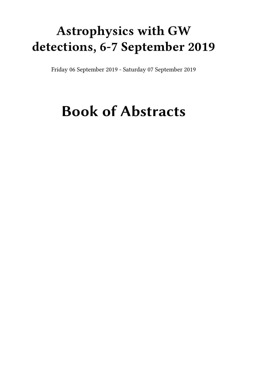## **Astrophysics with GW detections, 6-7 September 2019**

Friday 06 September 2019 - Saturday 07 September 2019

# **Book of Abstracts**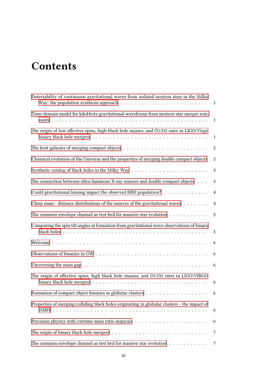## **Contents**

| Detectability of continuous gravitational waves from isolated neutron stars in the Milky<br>Way: the population synthesis approach $\ldots \ldots \ldots \ldots \ldots \ldots \ldots \ldots \ldots$ |                |
|-----------------------------------------------------------------------------------------------------------------------------------------------------------------------------------------------------|----------------|
| Time-domain model for kiloHertz gravitational-waveforms from neutron star merger rem-                                                                                                               | $\mathbf{1}$   |
| The origin of low effective spins, high black hole masses, and O1/O2 rates in LIGO/Virgo                                                                                                            | $\mathbf{1}$   |
|                                                                                                                                                                                                     | 2              |
| Chemical evolution of the Universe and the properties of merging double compact objects                                                                                                             | 2              |
|                                                                                                                                                                                                     | 3              |
| The connection between ultra-luminous X-ray sources and double compact objects                                                                                                                      | $\mathfrak{Z}$ |
| Could gravitational lensing impact the observed BBH population?                                                                                                                                     | $\overline{4}$ |
| Chirp mass - distance distributions of the sources of the gravitational waves                                                                                                                       | $\overline{4}$ |
| The common envelope channel as test-bed for massive star evolution                                                                                                                                  | 5              |
| Computing the spin tilt angles at formation from gravitational wave observations of binary                                                                                                          | 5              |
|                                                                                                                                                                                                     | 6              |
|                                                                                                                                                                                                     | 6              |
| Uncovering the mass gap $\ldots \ldots \ldots \ldots \ldots \ldots \ldots \ldots \ldots \ldots \ldots \ldots$                                                                                       | 6              |
| The origin of effective spins, high black hole masses, and O1/O2 rates in LIGO/VIRGO                                                                                                                | 6              |
|                                                                                                                                                                                                     | 6              |
| Properties of merging/colliding black holes originating in globular clusters - the impact of                                                                                                        | 6              |
|                                                                                                                                                                                                     | 6              |
|                                                                                                                                                                                                     | $\overline{7}$ |
| The common envelope channel as test bed for massive star evolution $\ldots \ldots \ldots \ldots$                                                                                                    | 7              |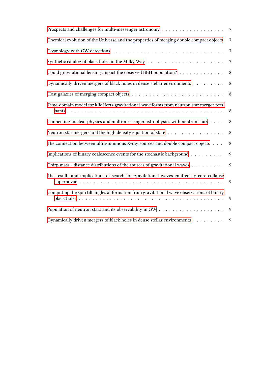|                                                                                            | $\boldsymbol{7}$ |
|--------------------------------------------------------------------------------------------|------------------|
| Chemical evolution of the Universe and the properties of merging double compact objects    | $\overline{7}$   |
|                                                                                            | $\boldsymbol{7}$ |
|                                                                                            | $\boldsymbol{7}$ |
| Could gravitational lensing impact the observed BBH population?                            | $\,8\,$          |
| Dynamically driven mergers of black holes in dense stellar environments                    | 8                |
|                                                                                            | 8                |
| Time-domain model for kiloHertz gravitational-waveforms from neutron star merger rem-      |                  |
| Connecting nuclear physics and multi-messenger astrophysics with neutron stars             | 8                |
| Neutron star mergers and the high density equation of state                                | 8                |
| The connection between ultra-luminous X-ray sources and double compact objects             | 8                |
| Implications of binary coalescence events for the stochastic background                    | $\mathbf{9}$     |
| Chirp mass - distance distributions of the sources of gravitational waves                  | 9                |
| The results and implications of search for gravitational waves emitted by core collapse    | 9                |
| Computing the spin tilt angles at formation from gravitational wave observations of binary | 9                |
|                                                                                            | 9                |
| Dynamically driven mergers of black holes in dense stellar environments                    | 9                |
|                                                                                            |                  |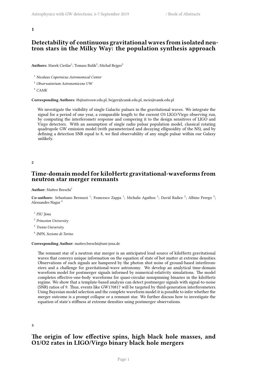<span id="page-4-0"></span>**1**

#### **Detectability of continuous gravitational waves from isolated neutron stars in the Milky Way: the population synthesis approach**

Authors: Marek Cieślar<sup>1</sup>; Tomasz Bulik<sup>2</sup>; Michał Bejger<sup>3</sup>

<sup>1</sup> *Nicolaus Copernicus Astronomical Center*

<sup>2</sup> *Obserwatorium Astronomiczne UW*

<sup>3</sup> *CAMK*

**Corresponding Authors:** tb@astrouw.edu.pl, bejger@camk.edu.pl, mcie@camk.edu.pl

We investigate the visibility of single Galactic pulsars in the gravitational waves. We integrate the signal for a period of one year, a comparable length to the current O3 LIGO/Virgo observing run, by computing the interferometr response and compering it to the design sensitives of LIGO and Virgo detectors. With an assumption of single radio pulsar population model, classical rotating quadrupole GW emission model (with parameterized and decaying ellipsoidity of the NS), and by defining a detection SNR equal to 8, we find observability of any single pulsar within our Galaxy unlikely.

<span id="page-4-1"></span>**2**

#### **Time-domain model for kiloHertz gravitational-waveforms from neutron star merger remnants**

**Author:** Matteo Breschi<sup>1</sup>

Co-authors: Sebastiano Bernuzzi<sup>1</sup>; Francesco Zappa<sup>1</sup>; Michalis Agathos<sup>1</sup>; David Radice<sup>2</sup>; Albino Perego<sup>3</sup>; Alessandro Nagar <sup>4</sup>

- 1 *FSU Jena*
- 2 *Princeton University*

3 *Trento University*

4 *INFN, Sezione di Torino*

#### **Corresponding Author:** matteo.breschi@uni-jena.de

The remnant star of a neutron star merger is an anticipated loud source of kiloHertz gravitational waves that conveys unique information on the equation of state of hot matter at extreme densities. Observations of such signals are hampered by the photon shot noise of ground-based interferometers and a challenge for gravitational-wave astronomy. We develop an analytical time-domain waveform model for postmerger signals informed by numerical-relativity simulations. The model completes effective-one-body waveforms for quasi-circular nonspinning binaries in the kiloHertz regime. We show that a template-based analysis can detect postmerger signals with signal-to-noise (SNR) ratios of 9. Thus, events like GW170817 will be targeted by third-generation interferometers. Using Bayesian model selection and the complete waveform model it is possible to infer whether the merger outcome is a prompt collapse or a remnant star. We further discuss how to investigate the equation of state's stiffness at extreme densities using postmerger observations.

<span id="page-4-2"></span>**3**

#### **The origin of low effective spins, high black hole masses, and O1/O2 rates in LIGO/Virgo binary black hole mergers**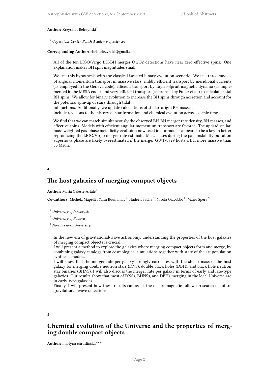#### Author: Krzysztof Belczynski<sup>1</sup>

<sup>1</sup> *Copernicus Center, Polish Academy of Sciences*

#### **Corresponding Author:** chrisbelczynski@gmail.com

All of the ten LIGO/Virgo BH-BH merger O1/O2 detections have near zero effective spins. One explanation makes BH spin magnitudes small.

We test this hypothesis with the classical isolated binary evolution scenario. We test three models of angular momentum transport in massive stars: mildly efficient transport by meridional currents (as employed in the Geneva code), efficient transport by Tayler-Spruit magnetic dynamo (as implemented in the MESA code), and very-efficient transport (as propsed by Fuller et al.) to calculate natal BH spins. We allow for binary evolution to increase the BH spins through accretion and account for the potential spin-up of stars through tidal

interactions. Additionally, we update calculations of stellar-origin BH masses, include revisions to the history of star formation and chemical evolution across cosmic time.

We find that we can match simultaneously the observed BH-BH merger rate density, BH masses, and effective spins. Models with efficient angular momentum transport are favored. The updatd stellarmass weighted gas-phase metallicity evoltuion now used in our models appears to be a key in better reproducing the LIGO/Virgo merger rate estimate. Mass losses during the pair-instabilty pulsation supernova phase are likely overestimated if the merger GW170729 hosts a BH more massive than 50 Msun.

<span id="page-5-0"></span>**4**

#### **The host galaxies of merging compact objects**

#### **Author:** Maria Celeste Artale<sup>1</sup>

Co-authors: Michela Mapelli ; Yann Bouffanais<sup>2</sup>; Nadeen Sabha<sup>1</sup>; Nicola Giacobbo<sup>2</sup>; Mario Spera<sup>3</sup>

<sup>1</sup> *University of Innsbruck*

<sup>2</sup> *University of Padova*

<sup>3</sup> *Northwestern University*

In the new era of gravitational-wave astronomy, understanding the properties of the host galaxies of merging compact objects is crucial.

I will present a method to explore the galaxies where merging compact objects form and merge, by combining galaxy catalogs from cosmological simulations together with state of the art population synthesis models.

I will show that the merger rate per galaxy strongly correlates with the stellar mass of the host galaxy for merging double neutron stars (DNS), double black holes (DBH), and black hole neutron star binaries (BHNS). I will also discuss the merger rate per galaxy in terms of early and late-type galaxies. Our results show that most of DNSs, BHNSs, and DBHs merging in the local Universe are in early-type galaxies.

Finally, I will present how these results can assist the electromagnetic follow-up search of future gravitational wave detections.

<span id="page-5-1"></span>**5**

#### **Chemical evolution of the Universe and the properties of merging double compact objects**

Author: martyna chruslinska<sup>None</sup>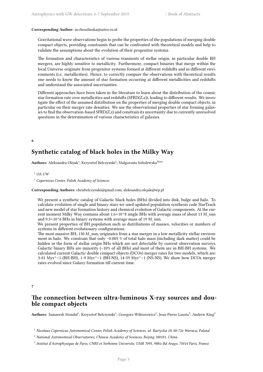#### **Corresponding Author:** m.chruslinska@astro.ru.nl

Gravitational wave observations begin to probe the properties of the populations of merging double compact objects, providing constraints that can be confronted with theoretical models and help to validate the assumptions about the evolution of their progenitor systems.

The formation and characteristics of various transients of stellar origin, in particular double BH mergers, are highly sensitive to metallicity. Furthermore, compact binaries that merge within the local Universe originate from progenitor systems formed at different redshifts and in different environments (i.e. metallicities). Hence, to correctly compare the observations with theoretical results one needs to know the amount of star formation occurring at different metallicities and redshifts and understand the associated uncertainties.

Different approaches have been taken in the literature to learn about the distribution of the cosmic star formation rate over metallicities and redshifts (SFRD(Z,z)), leading to different results. We investigate the effect of the assumed distribution on the properties of merging double compact objects, in particular on their merger rate densities. We use the observational properties of star forming galaxies to find the observation-based SFRD(Z,z) and constrain its uncertainty due to currently unresolved questions in the determination of various characteristics of galaxies.

<span id="page-6-0"></span>**6**

## **Synthetic catalog of black holes in the Milky Way**

 ${\bf Authors:}$  Aleksandra Olejak $^1;$  Krzysztof Belczynski $^2;$  Malgorzata Sobolewska $^{\rm None}$ 

<sup>1</sup> *OA UW*

<sup>2</sup> *Copernicus Center, Polish Academy of Sciences*

#### **Corresponding Authors:** chrisbelczynski@gmail.com, aleksandra.olejak@wp.pl

We present a synthetic catalog of Galactic black holes (BHs) divided into disk, bulge and halo. To calculate evolution of single and binary stars we used updated population synthesis code StarTrack and new model of star formation history and chemical evolution of Galactic components. At the current moment Milky Way contains about  $1.6 \times 10^{8}$  single BHs with average mass of about 13 M sun and 9.3×10^6 BHs in binary systems with average mass of 19 M\_sun.

We present properties of BH population such as distributions of masses, velocities or numbers of systems in different evolutionary configurations.

The most massive BH, 130 M sun, originates from a star merger in a low metallicity stellar environment in halo. We constrain that only ∼0.005 % of total halo mass (including dark matter) could be hidden in the form of stellar origin BHs which are not detectable by current observation surveys. Galactic binary BHs are minority (∼10% of all BHs) and most of them are in BH-BH systems. We calculated current Galactic double compact objects (DCOs) merger rates for two models, which are: 3-81 Myr^−1 (BH-BH), 1-9 Myr^−1 (BH-NS), 14-59 Myr^−1 (NS-NS). We show how DCOs merger rates evolved since Galaxy formation till current time.

<span id="page-6-1"></span>**7**

#### **The connection between ultra-luminous X-ray sources and double compact objects**

Authors: Samaresh Mondal<sup>1</sup>; Krzysztof Belczynski<sup>1</sup>; Grzegorz Wiktorowicz<sup>2</sup>; Jean-Pierre Lasota<sup>3</sup>; Andrew King<sup>4</sup>

<sup>1</sup> *Nicolaus Copernicus Astronomical Center, Polish Academy of Sciences, ul. Bartycka 18, 00-716 Warsaw, Poland*

<sup>2</sup> *National Astronomical Observatories, Chinese Academy of Sciences, Beijing 100101, China*

<sup>3</sup> *Institut d'Astrophysique de Paris, CNRS et Sorbonne Universite, UMR 7095, 98bis Bd Arago, 75014 Paris, France*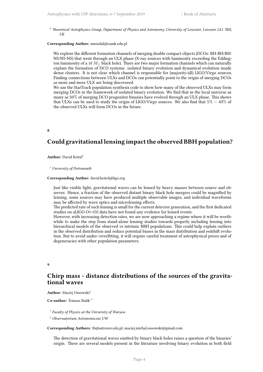<sup>4</sup> *Theoretical Astrophysics Group, Department of Physics and Astronomy, University of Leicester, Leicester LE1 7RH, UK*

#### **Corresponding Author:** smondal@camk.edu.pl

We explore the different formation channels of merging double compact objects (DCOs: BH-BH/BH-NS/NS-NS) that went through an ULX phase (X-ray sources with luminosity exceeding the Eddington luminosity of a 10 *M<sup>⊙</sup>* black hole). There are two major formation channels which can naturally explain the formation of DCO systems: isolated binary evolution and dynamical evolution inside dense clusters. It is not clear which channel is responsible for (majority/all) LIGO/Virgo sources. Finding connections between ULXs and DCOs can potentially point to the origin of merging DCOs as more and more ULX are being discovered.

We use the StarTrack population synthesis code to show how many of the observed ULXs may form merging DCOs in the framework of isolated binary evolution. We find that in the local universe as many as 50% of merging DCO progenitor binaries have evolved through an ULX phase. This shows that ULXs can be used to study the origin of LIGO/Virgo sources. We also find that 5% *−* 40% of the observed ULXs will form DCOs in the future.

<span id="page-7-0"></span>**8**

## **Could gravitational lensing impact the observed BBH population?**

Author: David Keitel<sup>1</sup>

<sup>1</sup> *University of Portsmouth*

#### **Corresponding Author:** david.keitel@ligo.org

Just like visible light, gravitational waves can be lensed by heavy masses between source and observer. Hence, a fraction of the observed distant binary black hole mergers could be magnified by lensing, some sources may have produced multiple observable images, and individual waveforms may be affected by wave optics and microlensing effects.

The predicted rate of such lensing is small for the current detector generation, and the first dedicated studies on aLIGO O1+O2 data have not found any evidence for lensed events.

However, with increasing detection rates, we are now approaching a regime where it will be worthwhile to make the step from stand-alone lensing studies towards properly including lensing into hierarchical models of the observed vs intrinsic BBH populations. This could help explain outliers in the observed distribution and reduce potential biases in the mass distribution and redshift evolution. But to avoid under-/overfitting, it will require careful treatment of astrophysical priors and of degeneracies with other population parameters.

<span id="page-7-1"></span>**9**

#### **Chirp mass - distance distributions of the sources of the gravitational waves**

**Author:** Maciej Ossowski<sup>1</sup>

**Co-author:** Tomasz Bulik <sup>2</sup>

1 *Faculty of Physics at the University of Warsaw*

<sup>2</sup> *Obserwatorium Astronomiczne UW*

**Corresponding Authors:** tb@astrouw.edu.pl, maciej.michal.ossowski@gmail.com

The detection of gravitational waves emitted by binary black holes raises a question of the binaries' origin. There are several models present in the literature involving binary evolution in both field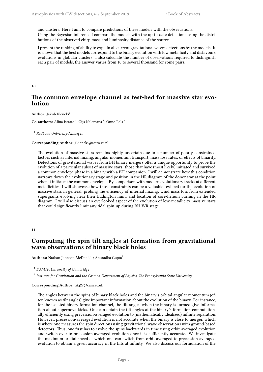and clusters. Here I aim to compare predictions of these models with the observations. Using the Bayesian inference I compare the models with the up-to-date detections using the distributions of the observed chirp mass and luminosity distance of the source.

I present the ranking of ability to explain all current gravitational waves detections by the models. It is shown that the best models correspond to the binary evolution with low metallicity and disfavours evolutions in globular clusters. I also calculate the number of observations required to distinguish each pair of models, the answer varies from 10 to several thousand for some pairs.

<span id="page-8-0"></span>**10**

## **The common envelope channel as test-bed for massive star evolution**

**Author:** Jakub Klencki<sup>1</sup>

 $\mathbf C$ o-authors: Alina Istrate <sup>1</sup>; Gijs Nelemans <sup>1</sup>; Onno Pols <sup>1</sup>

1 *Radboud University Nijmegen*

#### **Corresponding Author:** j.klencki@astro.ru.nl

The evolution of massive stars remains highly uncertain due to a number of poorly constrained factors such as internal mixing, angular momentum transport, mass loss rates, or effects of binarity. Detections of gravitational waves from BH binary mergers offer a unique opportunity to probe the evolution of a particular subset of massive stars: those that have (most likely) initiated and survived a common envelope phase in a binary with a BH companion. I will demonstrate how this condition narrows down the evolutionary stage and position in the HR diagram of the donor star at the point when it initiates the common envelope. By comparison with modern evolutionary tracks at different metallicities, I will showcase how those constraints can be a valuable test-bed for the evolution of massive stars in general, probing the efficiency of internal mixing, wind mass loss from extended supergiants evolving near their Eddington limit, and location of core-helium burning in the HR diagram. I will also discuss an overlooked aspect of the evolution of low-metallicity massive stars that could significantly limit any tidal spin-up during BH-WR stage.

#### <span id="page-8-1"></span>**11**

#### **Computing the spin tilt angles at formation from gravitational wave observations of binary black holes**

**Authors:** Nathan Johnson-McDaniel<sup>1</sup>; Anuradha Gupta<sup>2</sup>

<sup>1</sup> *DAMTP, University of Cambridge*

2 *Institute for Gravitation and the Cosmos, Department of Physics, The Pennsylvania State University*

#### **Corresponding Author:** nkj29@cam.ac.uk

The angles between the spins of binary black holes and the binary's orbital angular momentum (often known as tilt angles) give important information about the evolution of the binary. For instance, for the isolated binary formation channel, the tilt angles when the binary is formed give information about supernova kicks. One can obtain the tilt angles at the binary's formation computationally efficiently using precession-averaged evolution to (mathematically idealized) infinite separation. However, precession-averaged evolution is not accurate when the binary is close to merger, which is where one measures the spin directions using gravitational wave observations with ground-based detectors. Thus, one first has to evolve the spins backwards in time using orbit-averaged evolution and switch over to precession-averaged evolution once it is sufficiently accurate. We investigate the maximum orbital speed at which one can switch from orbit-averaged to precession-averaged evolution to obtain a given accuracy in the tilts at infinity. We also discuss our formulation of the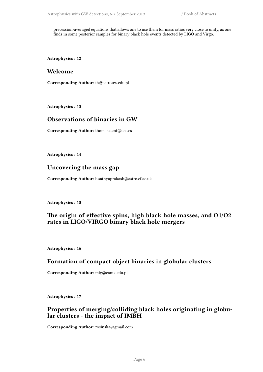precession-averaged equations that allows one to use them for mass ratios very close to unity, as one finds in some posterior samples for binary black hole events detected by LIGO and Virgo.

<span id="page-9-0"></span>**Astrophysics** / **12**

#### **Welcome**

**Corresponding Author:** tb@astrouw.edu.pl

<span id="page-9-1"></span>**Astrophysics** / **13**

#### **Observations of binaries in GW**

**Corresponding Author:** thomas.dent@usc.es

<span id="page-9-2"></span>**Astrophysics** / **14**

#### **Uncovering the mass gap**

**Corresponding Author:** b.sathyaprakash@astro.cf.ac.uk

<span id="page-9-3"></span>**Astrophysics** / **15**

#### **The origin of effective spins, high black hole masses, and O1/O2 rates in LIGO/VIRGO binary black hole mergers**

<span id="page-9-4"></span>**Astrophysics** / **16**

#### **Formation of compact object binaries in globular clusters**

**Corresponding Author:** mig@camk.edu.pl

<span id="page-9-5"></span>**Astrophysics** / **17**

#### **Properties of merging/colliding black holes originating in globular clusters - the impact of IMBH**

<span id="page-9-6"></span>**Corresponding Author:** rosinska@gmail.com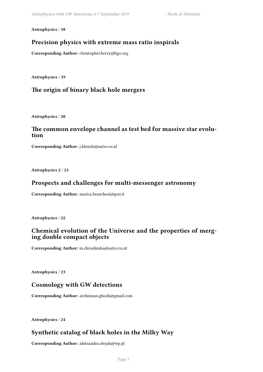**Astrophysics** / **18**

## **Precision physics with extreme mass ratio inspirals**

**Corresponding Author:** christopher.berry@ligo.org

**Astrophysics** / **19**

## **The origin of binary black hole mergers**

**Astrophysics** / **20**

#### **The common envelope channel as test bed for massive star evolution**

**Corresponding Author:** j.klencki@astro.ru.nl

<span id="page-10-0"></span>**Astrophysics 2** / **21**

#### **Prospects and challenges for multi-messenger astronomy**

**Corresponding Author:** marica.branchesi@gssi.it

<span id="page-10-1"></span>**Astrophysics** / **22**

## **Chemical evolution of the Universe and the properties of merging double compact objects**

**Corresponding Author:** m.chruslinska@astro.ru.nl

<span id="page-10-2"></span>**Astrophysics** / **23**

## **Cosmology with GW detections**

**Corresponding Author:** archisman.ghosh@gmail.com

<span id="page-10-3"></span>**Astrophysics** / **24**

## **Synthetic catalog of black holes in the Milky Way**

**Corresponding Author:** aleksandra.olejak@wp.pl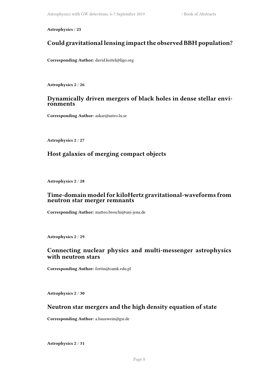<span id="page-11-0"></span>**Astrophysics** / **25**

## **Could gravitational lensing impact the observed BBH population?**

**Corresponding Author:** david.keitel@ligo.org

<span id="page-11-1"></span>**Astrophysics 2** / **26**

#### **Dynamically driven mergers of black holes in dense stellar environments**

**Corresponding Author:** askar@astro.lu.se

**Astrophysics 2** / **27**

#### **Host galaxies of merging compact objects**

<span id="page-11-2"></span>**Astrophysics 2** / **28**

#### **Time-domain model for kiloHertz gravitational-waveforms from neutron star merger remnants**

**Corresponding Author:** matteo.breschi@uni-jena.de

<span id="page-11-3"></span>**Astrophysics 2** / **29**

#### **Connecting nuclear physics and multi-messenger astrophysics with neutron stars**

**Corresponding Author:** fortin@camk.edu.pl

<span id="page-11-4"></span>**Astrophysics 2** / **30**

#### **Neutron star mergers and the high density equation of state**

**Corresponding Author:** a.bauswein@gsi.de

<span id="page-11-5"></span>**Astrophysics 2** / **31**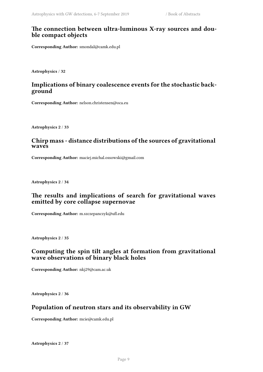#### **The connection between ultra-luminous X-ray sources and double compact objects**

**Corresponding Author:** smondal@camk.edu.pl

<span id="page-12-0"></span>**Astrophysics** / **32**

## **Implications of binary coalescence events for the stochastic background**

**Corresponding Author:** nelson.christensen@oca.eu

<span id="page-12-1"></span>**Astrophysics 2** / **33**

#### **Chirp mass - distance distributions of the sources of gravitational waves**

**Corresponding Author:** maciej.michal.ossowski@gmail.com

<span id="page-12-2"></span>**Astrophysics 2** / **34**

## **The results and implications of search for gravitational waves emitted by core collapse supernovae**

**Corresponding Author:** m.szczepanczyk@ufl.edu

<span id="page-12-3"></span>**Astrophysics 2** / **35**

## **Computing the spin tilt angles at formation from gravitational wave observations of binary black holes**

**Corresponding Author:** nkj29@cam.ac.uk

**Astrophysics 2** / **36**

## **Population of neutron stars and its observability in GW**

**Corresponding Author:** mcie@camk.edu.pl

**Astrophysics 2** / **37**